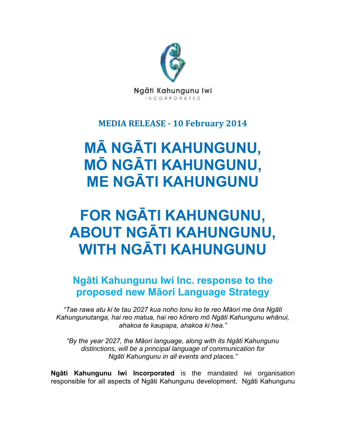

### **MEDIA RELEASE - 10 February 2014**

# **MĀ NGĀTI KAHUNGUNU, MŌ NGĀTI KAHUNGUNU, ME NGĀTI KAHUNGUNU**

# **FOR NGĀTI KAHUNGUNU, ABOUT NGĀTI KAHUNGUNU, WITH NGĀTI KAHUNGUNU**

## **Ngāti Kahungunu Iwi Inc. response to the proposed new Māori Language Strategy**

*"Tae rawa atu ki te tau 2027 kua noho tonu ko te reo Māori me ōna Ngāti Kahungunutanga, hai reo matua, hai reo kōrero mō Ngāti Kahungunu whānui, ahakoa te kaupapa, ahakoa ki hea."*

*"By the year 2027, the Māori language, along with its Ngāti Kahungunu distinctions, will be a principal language of communication for Ngāti Kahungunu in all events and places."*

**Ngāti Kahungunu Iwi Incorporated** is the mandated iwi organisation responsible for all aspects of Ngāti Kahungunu development. Ngāti Kahungunu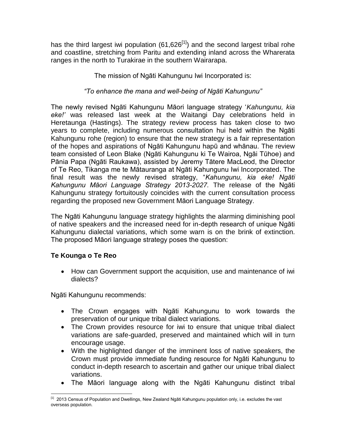has the third largest iwi population  $(61,626^{[1]})$  and the second largest tribal rohe and coastline, stretching from Paritu and extending inland across the Wharerata ranges in the north to Turakirae in the southern Wairarapa.

The mission of Ngāti Kahungunu Iwi Incorporated is:

#### *"To enhance the mana and well-being of Ngāti Kahungunu"*

The newly revised Ngāti Kahungunu Māori language strategy '*Kahungunu, kia eke!'* was released last week at the Waitangi Day celebrations held in Heretaunga (Hastings). The strategy review process has taken close to two years to complete, including numerous consultation hui held within the Ngāti Kahungunu rohe (region) to ensure that the new strategy is a fair representation of the hopes and aspirations of Ngāti Kahungunu hapū and whānau. The review team consisted of Leon Blake (Ngāti Kahungunu ki Te Wairoa, Ngāi Tūhoe) and Pānia Papa (Ngāti Raukawa), assisted by Jeremy Tātere MacLeod, the Director of Te Reo, Tikanga me te Mātauranga at Ngāti Kahungunu Iwi Incorporated. The final result was the newly revised strategy, "*Kahungunu, kia eke! Ngāti Kahungunu Māori Language Strategy 2013-2027.* The release of the Ngāti Kahungunu strategy fortuitously coincides with the current consultation process regarding the proposed new Government Māori Language Strategy.

The Ngāti Kahungunu language strategy highlights the alarming diminishing pool of native speakers and the increased need for in-depth research of unique Ngāti Kahungunu dialectal variations, which some warn is on the brink of extinction. The proposed Māori language strategy poses the question:

### **Te Kounga o Te Reo**

 How can Government support the acquisition, use and maintenance of iwi dialects?

Ngāti Kahungunu recommends:

- The Crown engages with Ngāti Kahungunu to work towards the preservation of our unique tribal dialect variations.
- The Crown provides resource for iwi to ensure that unique tribal dialect variations are safe-guarded, preserved and maintained which will in turn encourage usage.
- With the highlighted danger of the imminent loss of native speakers, the Crown must provide immediate funding resource for Ngāti Kahungunu to conduct in-depth research to ascertain and gather our unique tribal dialect variations.
- The Māori language along with the Ngāti Kahungunu distinct tribal

 $\overline{a}$  $^{[1]}$  2013 Census of Population and Dwellings, New Zealand Ngāti Kahungunu population only, i.e. excludes the vast overseas population.